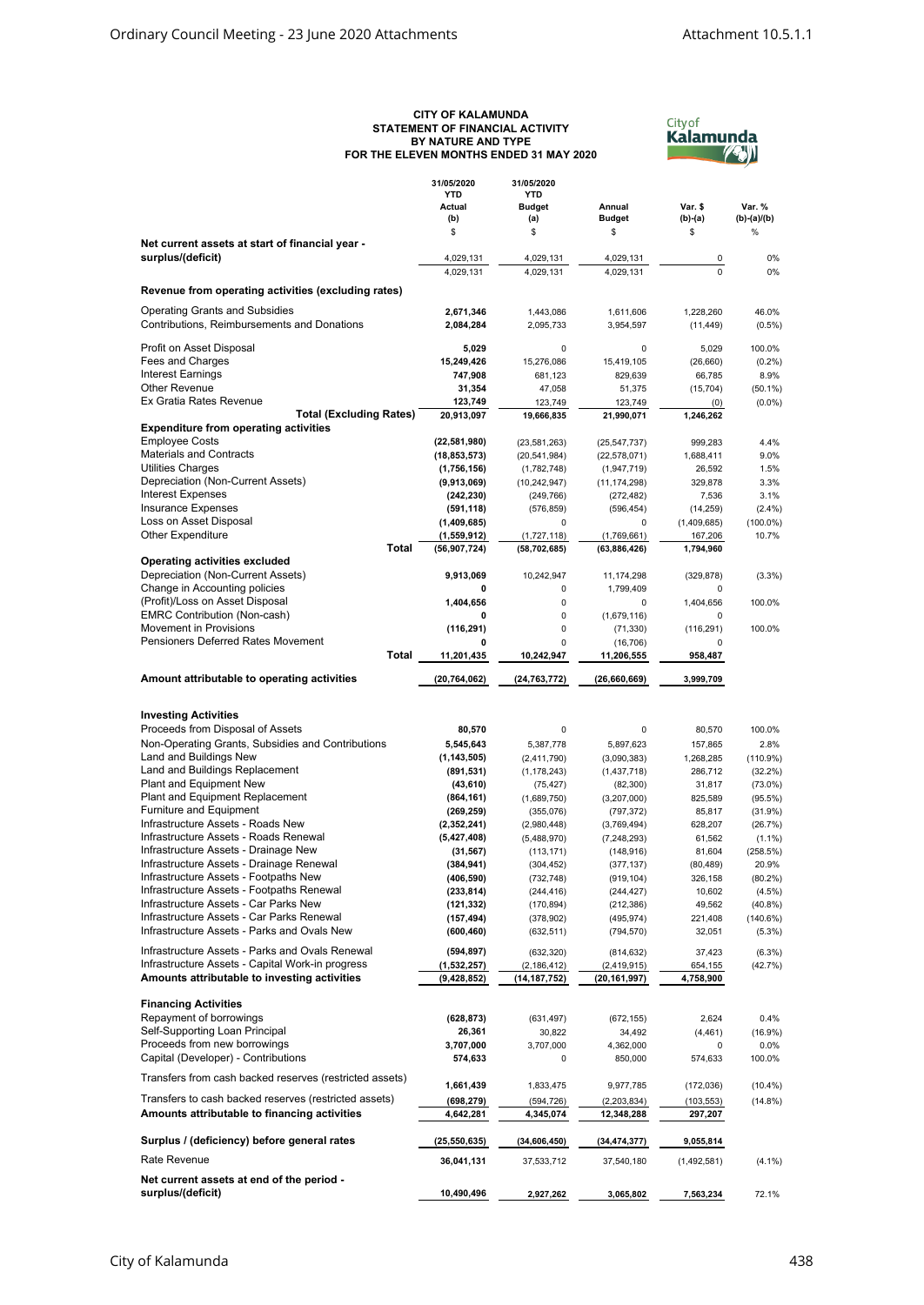## **CITY OF KALAMUNDA STATEMENT OF FINANCIAL ACTIVITY BY NATURE AND TYPE FOR THE ELEVEN MONTHS ENDED 31 MAY 2020**



|                                                                                                  | 31/05/2020<br><b>YTD</b><br>Actual | 31/05/2020<br><b>YTD</b><br><b>Budget</b> | Annual                        | Var. \$                | Var. %                  |
|--------------------------------------------------------------------------------------------------|------------------------------------|-------------------------------------------|-------------------------------|------------------------|-------------------------|
|                                                                                                  | (b)<br>\$                          | (a)<br>\$                                 | <b>Budget</b><br>\$           | $(b)-(a)$<br>\$        | $(b)-(a)/(b)$<br>%      |
| Net current assets at start of financial year -                                                  |                                    |                                           |                               |                        |                         |
| surplus/(deficit)                                                                                | 4,029,131                          | 4,029,131<br>4.029.131                    | 4,029,131                     | 0<br>$\Omega$          | 0%                      |
|                                                                                                  | 4,029,131                          |                                           | 4,029,131                     |                        | 0%                      |
| Revenue from operating activities (excluding rates)                                              |                                    |                                           |                               |                        |                         |
| <b>Operating Grants and Subsidies</b>                                                            | 2,671,346                          | 1,443,086                                 | 1,611,606                     | 1,228,260              | 46.0%                   |
| Contributions, Reimbursements and Donations                                                      | 2,084,284                          | 2,095,733                                 | 3,954,597                     | (11, 449)              | $(0.5\%)$               |
| Profit on Asset Disposal                                                                         | 5,029                              | 0                                         | 0                             | 5,029                  | 100.0%                  |
| Fees and Charges                                                                                 | 15,249,426                         | 15,276,086                                | 15,419,105                    | (26, 660)              | $(0.2\%)$               |
| <b>Interest Earnings</b><br>Other Revenue                                                        | 747,908                            | 681,123                                   | 829,639                       | 66,785                 | 8.9%                    |
| Ex Gratia Rates Revenue                                                                          | 31,354<br>123,749                  | 47,058<br>123,749                         | 51,375<br>123,749             | (15, 704)<br>(0)       | $(50.1\%)$<br>$(0.0\%)$ |
| <b>Total (Excluding Rates)</b>                                                                   | 20,913,097                         | 19,666,835                                | 21,990,071                    | 1,246,262              |                         |
| <b>Expenditure from operating activities</b>                                                     |                                    |                                           |                               |                        |                         |
| <b>Employee Costs</b><br><b>Materials and Contracts</b>                                          | (22,581,980)                       | (23,581,263)                              | (25, 547, 737)                | 999,283                | 4.4%                    |
| Utilities Charges                                                                                | (18, 853, 573)<br>(1,756,156)      | (20, 541, 984)<br>(1,782,748)             | (22, 578, 071)<br>(1,947,719) | 1,688,411<br>26,592    | 9.0%<br>1.5%            |
| Depreciation (Non-Current Assets)                                                                | (9,913,069)                        | (10, 242, 947)                            | (11, 174, 298)                | 329,878                | 3.3%                    |
| <b>Interest Expenses</b>                                                                         | (242, 230)                         | (249, 766)                                | (272, 482)                    | 7,536                  | 3.1%                    |
| <b>Insurance Expenses</b>                                                                        | (591, 118)                         | (576, 859)                                | (596, 454)                    | (14, 259)              | (2.4%)                  |
| Loss on Asset Disposal<br><b>Other Expenditure</b>                                               | (1,409,685)<br>(1,559,912)         | 0<br>(1,727,118)                          | 0<br>(1,769,661)              | (1,409,685)<br>167,206 | $(100.0\%)$<br>10.7%    |
| Total                                                                                            | (56, 907, 724)                     | (58, 702, 685)                            | (63,886,426)                  | 1,794,960              |                         |
| <b>Operating activities excluded</b>                                                             |                                    |                                           |                               |                        |                         |
| Depreciation (Non-Current Assets)                                                                | 9,913,069                          | 10,242,947                                | 11,174,298                    | (329, 878)             | $(3.3\%)$               |
| Change in Accounting policies<br>(Profit)/Loss on Asset Disposal                                 | 0<br>1,404,656                     | 0<br>0                                    | 1,799,409<br>0                | 0<br>1,404,656         | 100.0%                  |
| <b>EMRC Contribution (Non-cash)</b>                                                              | 0                                  | 0                                         | (1,679,116)                   | 0                      |                         |
| Movement in Provisions                                                                           | (116, 291)                         | 0                                         | (71, 330)                     | (116, 291)             | 100.0%                  |
| <b>Pensioners Deferred Rates Movement</b>                                                        | 0                                  | 0                                         | (16, 706)                     | 0                      |                         |
| Total                                                                                            | 11,201,435                         | 10,242,947                                | 11,206,555                    | 958,487                |                         |
| Amount attributable to operating activities                                                      | (20, 764, 062)                     | (24, 763, 772)                            | (26,660,669)                  | 3,999,709              |                         |
|                                                                                                  |                                    |                                           |                               |                        |                         |
| <b>Investing Activities</b><br>Proceeds from Disposal of Assets                                  | 80,570                             | 0                                         | 0                             | 80,570                 | 100.0%                  |
| Non-Operating Grants, Subsidies and Contributions                                                | 5,545,643                          | 5,387,778                                 | 5,897,623                     | 157,865                | 2.8%                    |
| Land and Buildings New                                                                           | (1, 143, 505)                      | (2,411,790)                               | (3,090,383)                   | 1,268,285              | (110.9%)                |
| Land and Buildings Replacement                                                                   | (891, 531)                         | (1, 178, 243)                             | (1,437,718)                   | 286,712                | (32.2%)                 |
| Plant and Equipment New<br>Plant and Equipment Replacement                                       | (43, 610)                          | (75, 427)                                 | (82, 300)                     | 31,817                 | $(73.0\%)$              |
| <b>Furniture and Equipment</b>                                                                   | (864, 161)<br>(269, 259)           | (1,689,750)<br>(355,076)                  | (3,207,000)<br>(797, 372)     | 825,589<br>85,817      | (95.5%)<br>(31.9%)      |
| Infrastructure Assets - Roads New                                                                | (2,352,241)                        | (2,980,448)                               | (3,769,494)                   | 628,207                | (26.7%)                 |
| Infrastructure Assets - Roads Renewal                                                            | (5,427,408)                        | (5,488,970)                               | (7, 248, 293)                 | 61,562                 | $(1.1\%)$               |
| Infrastructure Assets - Drainage New                                                             | (31, 567)                          | (113, 171)                                | (148, 916)                    | 81,604                 | (258.5%)                |
| Infrastructure Assets - Drainage Renewal<br>Infrastructure Assets - Footpaths New                | (384, 941)<br>(406, 590)           | (304, 452)<br>(732, 748)                  | (377, 137)<br>(919, 104)      | (80, 489)<br>326,158   | 20.9%<br>$(80.2\%)$     |
| Infrastructure Assets - Footpaths Renewal                                                        | (233, 814)                         | (244, 416)                                | (244, 427)                    | 10,602                 | (4.5%)                  |
| Infrastructure Assets - Car Parks New                                                            | (121, 332)                         | (170, 894)                                | (212, 386)                    | 49,562                 | (40.8%)                 |
| Infrastructure Assets - Car Parks Renewal                                                        | (157, 494)                         | (378, 902)                                | (495, 974)                    | 221,408                | (140.6%)                |
| Infrastructure Assets - Parks and Ovals New                                                      | (600, 460)                         | (632, 511)                                | (794, 570)                    | 32,051                 | (5.3%)                  |
| Infrastructure Assets - Parks and Ovals Renewal                                                  | (594, 897)                         | (632, 320)                                | (814, 632)                    | 37,423                 | (6.3%)                  |
| Infrastructure Assets - Capital Work-in progress<br>Amounts attributable to investing activities | (1,532,257)<br>(9, 428, 852)       | (2, 186, 412)<br>(14,187,752)             | (2, 419, 915)<br>(20,161,997) | 654,155<br>4,758,900   | (42.7%)                 |
|                                                                                                  |                                    |                                           |                               |                        |                         |
| <b>Financing Activities</b><br>Repayment of borrowings                                           | (628, 873)                         | (631, 497)                                | (672, 155)                    | 2,624                  | 0.4%                    |
| Self-Supporting Loan Principal                                                                   | 26,361                             | 30,822                                    | 34,492                        | (4, 461)               | (16.9%)                 |
| Proceeds from new borrowings                                                                     | 3,707,000                          | 3,707,000                                 | 4,362,000                     | 0                      | $0.0\%$                 |
| Capital (Developer) - Contributions                                                              | 574,633                            | 0                                         | 850,000                       | 574,633                | 100.0%                  |
| Transfers from cash backed reserves (restricted assets)                                          | 1,661,439                          | 1,833,475                                 | 9,977,785                     | (172,036)              | $(10.4\%)$              |
| Transfers to cash backed reserves (restricted assets)                                            | (698, 279)                         | (594, 726)                                | (2,203,834)                   | (103,553)              | $(14.8\%)$              |
| Amounts attributable to financing activities                                                     | 4,642,281                          | 4,345,074                                 | 12,348,288                    | 297,207                |                         |
| Surplus / (deficiency) before general rates                                                      | (25,550,635)                       | (34,606,450)                              | (34,474,377)                  | 9,055,814              |                         |
| Rate Revenue                                                                                     | 36,041,131                         | 37,533,712                                | 37,540,180                    | (1,492,581)            | $(4.1\%)$               |
| Net current assets at end of the period -                                                        |                                    |                                           |                               |                        |                         |
| surplus/(deficit)                                                                                | 10,490,496                         | 2,927,262                                 | 3,065,802                     | 7,563,234              | 72.1%                   |